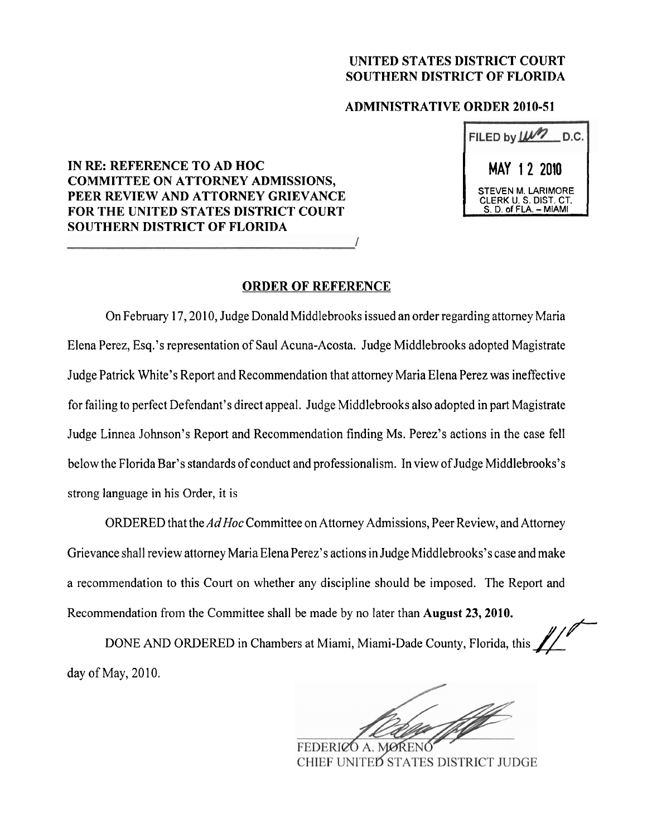## **UNITED STATES DISTRICT COURT SOUTHERN DISTRICT OF FLORIDA**

## **ADMINISTRATIVE ORDER 2010-5 1**

# FILED by  $\mu$  D.C. I **MAY** 1 2 **2010** <sup>1</sup> STEVEN M. LARIMORE<br>| CLERK U. S. DIST. CT. STEVEN M. LARIMORE<br>CLERK U. S. DIST. CT.<br>S. D. of FLA. – MIAMI

# **IN RE: REFERENCE TO AD HOC COMMITTEE ON ATTORNEY ADMISSIONS, PEER REVIEW AND ATTORNEY GRIEVANCE FOR THE UNITED STATES DISTRICT COURT SOUTHERN DISTRICT OF FLORIDA**

## **ORDER OF REFERENCE**

On February 17,20 10, Judge Donald Middlebrooks issued an order regarding attorney Maria Elena Perez, Esq.'s representation of Saul Acuna-Acosta. Judge Middlebrooks adopted Magistrate Judge Patrick White's Report and Recommendation that attorney Maria Elena Perez was ineffective for failing to perfect Defendant's direct appeal. Judge Middlebrooks also adopted in part Magistrate Judge Linnea Johnson's Report and Recommendation finding Ms. Perez's actions in the case fell below the Florida Bar's standards of conduct and professionalism. In view of Judge Middlebrooks's strong language in his Order, it is

ORDERED that the *AdHoc* Committee on Attorney Admissions, Peer Review, and Attorney Grievance shall review attorney Maria Elena Perez's actions in Judge Middlebrooks's case and make a recommendation to this Court on whether any discipline should be imposed. The Report and Recommendation from the Committee shall be made by no later than **August 23,2010.** 

DONE AND ORDERED in Chambers at Miami, Miami-Dade County, Florida, this day of May, 2010.

FEDERICO A. MOREN CHIEF UNITED STATES DISTRICT JUDGE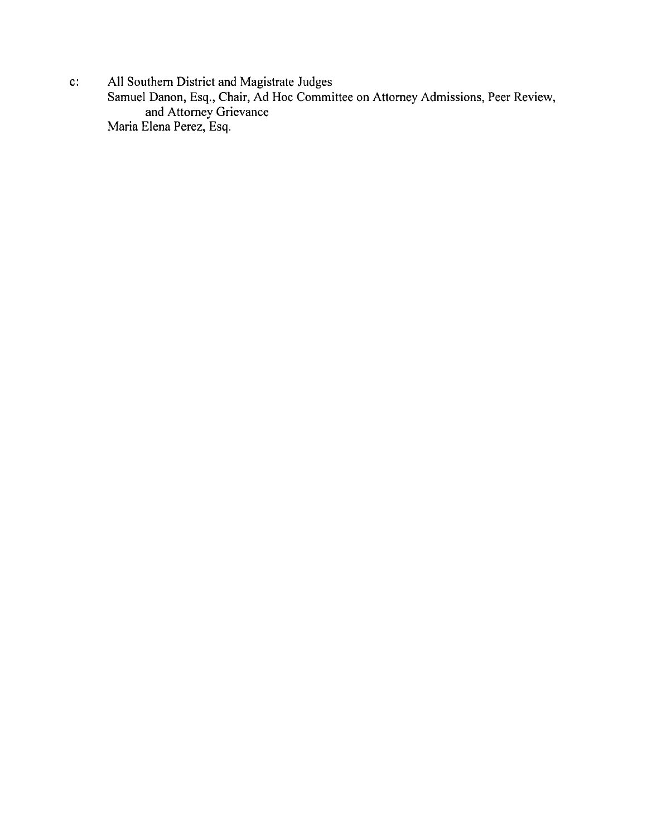c: All Southern District and Magistrate Judges

Samuel Danon, Esq., Chair, Ad Hoc Committee on Attorney Admissions, Peer Review, and Attorney Grievance Maria Elena Perez, Esq.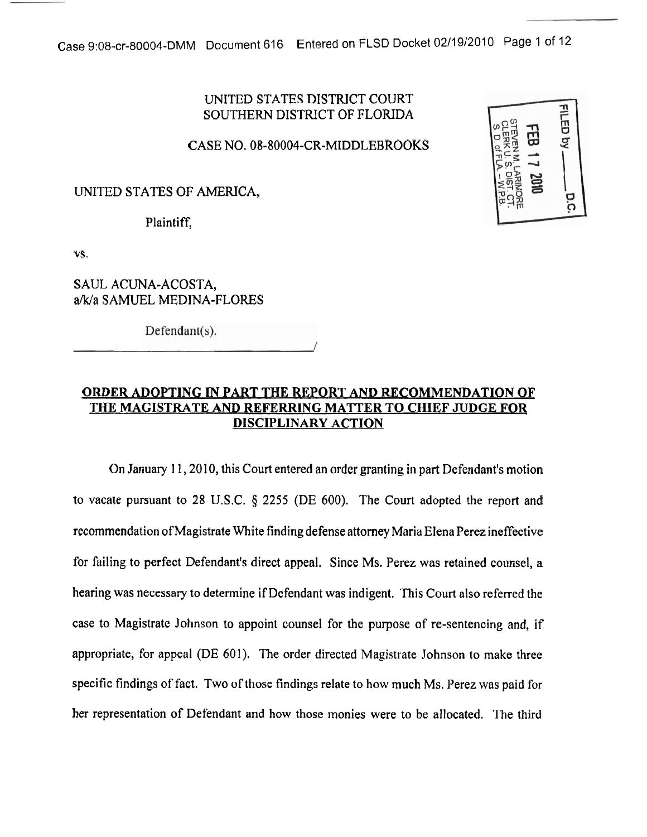# UNITED STATES DISTRICT COURT SOUTHERN DISTRICT OF FLORIDA

CASE NO. 08-80004-CR-MIDDLEBROOKS

# UNITED STATES OF AMERICA,

Plaintiff,

VS.

SAUL ACUNA-ACOSTA, ak/a SAMUEL MEDINA-FLORES

 $Defendant(s)$ .

# **ORDER ADOPTING IN PART THE REPORT AND RECOMMENDATION OF THE MAGISTRATE AND REFERRING MATTER TO CHIEF JUDGE FOR DISCIPLINARY ACTION**

On January I 1,20 10, this Court entered an order granting in part Defendant's motion to vacate pursuant to 28 U.S.C. *5* 2255 (DE 600). The Court adopted the report and recommendation of Magistrate White finding defense attorney Maria Elena Perez ineffective for failing to perfect Defendant's direct appeal. Since Ms. Perez was retained counsel, a hearing was necessary to determine if Defendant was indigent. This Court also referred the case to Magistrate Johnson to appoint counsel for the purpose of re-sentencing and, if appropriate, for appeal (DE 601). The order directed Magistrate Johnson to make three specific findings of fact. Two of those findings relate to how much Ms. Perez was paid for her representation of Defendant and how those monies were to be allocated. The third

| STEVEN M. LARIMORE<br>CLERK U. S. DIST. CT<br>$\ddot{\Xi}$<br>.<br>D. of F<br>DIST.CT<br>$\frac{1}{2000}$ | FILED by<br>E |
|-----------------------------------------------------------------------------------------------------------|---------------|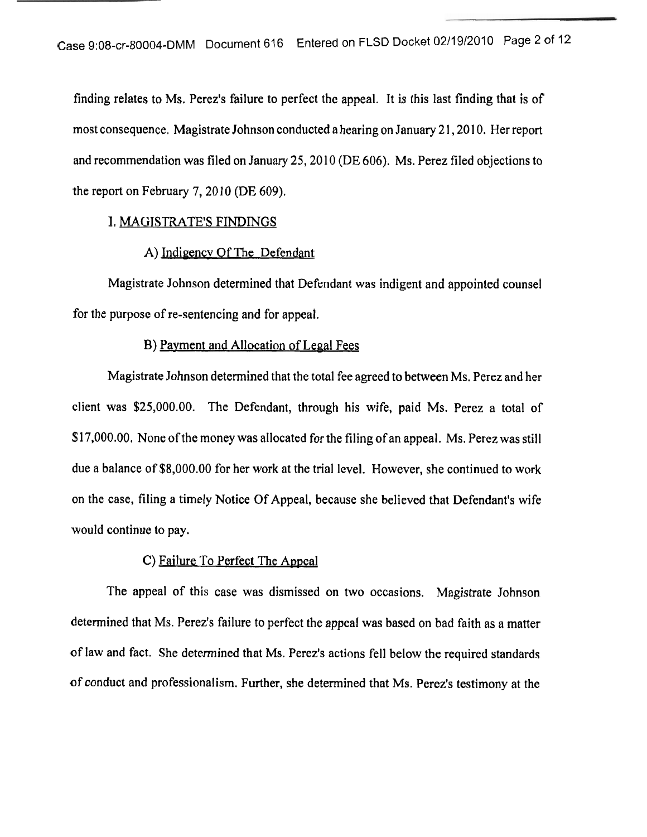finding relates to Ms. Perez's failure to perfect the appeal. It is this last finding that is of most consequence. Magistrate Johnson conducted a hearing on January 2 1,20 10. Her report and recommendation was filed on January 25,20 10 (DE 606). Ms. Perez filed objections to the report on February 7,20 10 (DE 609).

## I. MAGISTRATE'S FINDINGS

## A) Indigency Of The Defendant

Magistrate Johnson determined that Defendant was indigent and appointed counsel for the purpose of re-sentencing and for appeal.

#### B) Payment and Allocation of Legal Fees

Magistrate Johnson determined that the total fee agreed to between Ms. Perez and her client was \$25,000.00. The Defendant, through his wife, paid Ms. Perez a total of \$17,000.00. None of the money was allocated for the filing of an appeal. Ms. Perez was still due a balance of \$8,000.00 for her work at the trial level. However, she continued to work on the case, filing a timely Notice Of Appeal, because she believed that Defendant's wife would continue to pay.

#### C) Failure To Perfect The Appeal

The appeal of this case was dismissed on two occasions. Magistrate Johnson determined that Ms. Perez's failure to perfect the appeal was based on bad faith as a matter of law and fact. She determined that Ms. Perez's actions fell below the required standards of conduct and professionalism. Further, she determined that Ms. Perez's testimony at the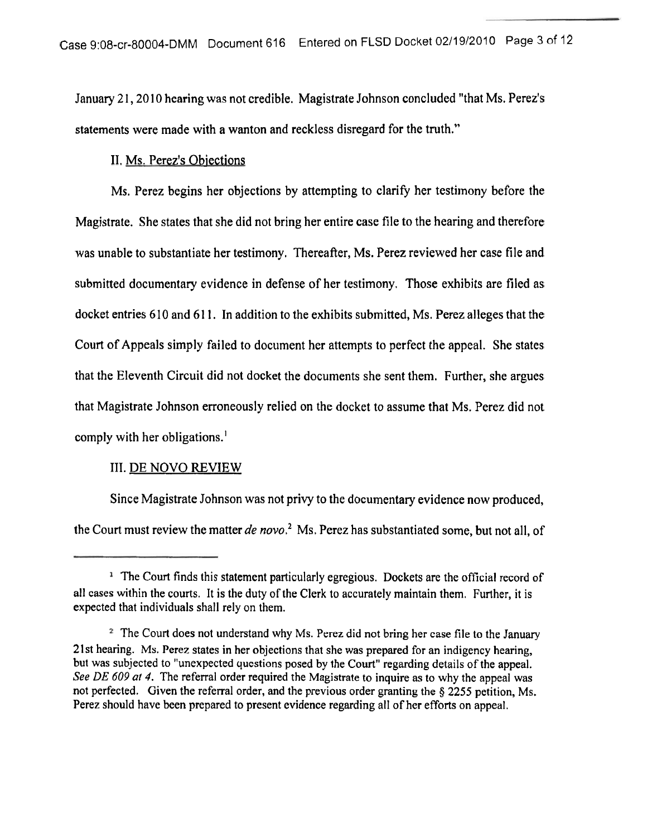January 21, 2010 hearing was not credible. Magistrate Johnson concluded "that Ms. Perez's statements were made with a wanton and reckless disregard for the truth."

## 11. Ms. Perez's Obiections

Ms. Perez begins her objections by attempting to clarify her testimony before the Magistrate. She states that she did not bring her entire case file to the hearing and therefore was unable to substantiate her testimony. Thereafter, Ms. Perez reviewed her case file and submitted documentary evidence in defense of her testimony. Those exhibits are filed as docket entries 610 and 61 1. In addition to the exhibits submitted, Ms. Perez alleges that the Court of Appeals simply failed to document her attempts to perfect the appeal. She states that the Eleventh Circuit did not docket the documents she sent them. Further, she argues that Magistrate Johnson erroneously relied on the docket to assume that Ms. Perez did not comply with her obligations.'

## 111. DE NOVO REVIEW

Since Magistrate Johnson was not privy to the documentary evidence now produced, the Court must review the matter de novo.<sup>2</sup> Ms. Perez has substantiated some, but not all, of

<sup>&</sup>lt;sup>1</sup> The Court finds this statement particularly egregious. Dockets are the official record of all cases within the courts. It is the duty of the Clerk to accurately maintain them. Further, it is expected that individuals shall rely on them.

<sup>&</sup>lt;sup>2</sup> The Court does not understand why Ms. Perez did not bring her case file to the January 21 st hearing. Ms. Perez states in her objections that she was prepared for an indigency hearing, but was subjected to "unexpected questions posed by the Court" regarding details of the appeal. *See* DE 609 at 4. The referral order required the Magistrate to inquire as to why the appeal was not perfected. Given the referral order, and the previous order granting the **8 2255** petition, Ms. Perez should have been prepared to present evidence regarding all of her efforts on appeal.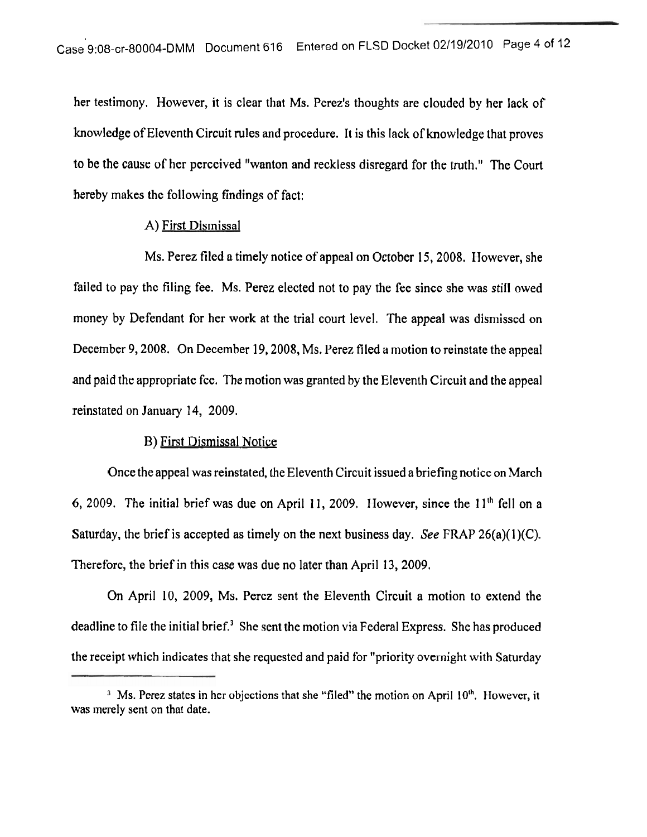her testimony. However, it is clear that Ms. Perez's thoughts are clouded by her lack of knowledge of Eleventh Circuit rules and procedure. It is this lack of knowledge that proves to be the cause of her perceived "wanton and reckless disregard for the truth." The Court hereby makes the following findings of fact:

## A) First Dismissal

Ms. Perez filed a timely notice of appeal on October 15,2008. However, she failed to pay the filing fee. Ms. Perez elected not to pay the fee since she was still owed money by Defendant for her work at the trial court level. The appeal was dismissed on December 9,2008. On December 19,2008, Ms. Perez filed a motion to reinstate the appeal and paid the appropriate fee. The motion was granted by the Eleventh Circuit and the appeal reinstated on January 14, 2009.

## B) First Dismissal Notice

Once the appeal was reinstated, the Eleventh Circuit issued a briefing notice on March 6, 2009. The initial brief was due on April 11, 2009. However, since the  $11<sup>th</sup>$  fell on a Saturday, the brief is accepted as timely on the next business day. *See* FRAP 26(a)(l)(C). Therefore, the brief in this case was due no later than April 13, 2009.

On April 10, 2009, Ms. Perez sent the Eleventh Circuit a motion to extend the deadline to file the initial brief.<sup>3</sup> She sent the motion via Federal Express. She has produced the receipt which indicates that she requested and paid for "priority overnight with Saturday

<sup>&</sup>lt;sup>3</sup> Ms. Perez states in her objections that she "filed" the motion on April 10<sup>th</sup>. However, it was merely sent on that date.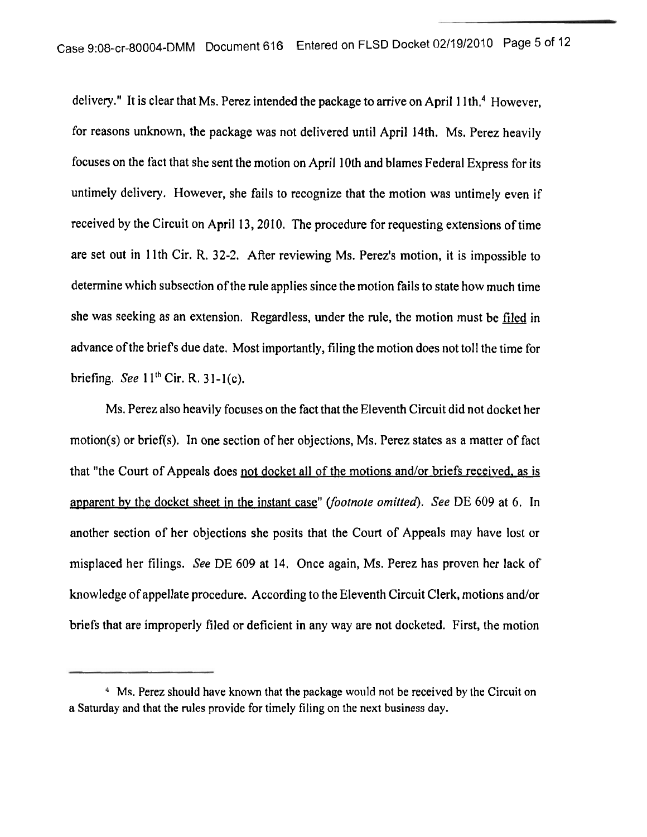delivery." It is clear that Ms. Perez intended the package to arrive on April 11th.<sup>4</sup> However, for reasons unknown, the package was not delivered until April 14th. Ms. Perez heavily focuses on the fact that she sent the motion on April 10th and blames Federal Express for its untimely delivery. However, she fails to recognize that the motion was untimely even if received by the Circuit on April 13,2010. The procedure for requesting extensions of time are set out in 1 lth Cir. R. **32-2.** After reviewing Ms. Perez's motion, it is impossible to determine which subsection of the rule applies since the motion fails to state how much time she was seeking as an extension. Regardless, under the rule, the motion must be filed in advance of the briefs due date. Most importantly, filing the motion does not toll the time for briefing. *See* 1 1 **'h** Cir. R. **3** 1-l(c).

Ms. Perez also heavily focuses on the fact that the Eleventh Circuit did not docket her motion(s) or brief(s). In one section of her objections, Ms. Perez states as a matter of fact that "the Court of Appeals does not docket all of the motions and/or briefs received. as is apparent by the docket sheet in the instant case" *(footnote omitted)*. See DE 609 at 6. In another section of her objections she posits that the Court of Appeals may have lost or misplaced her filings. *See* DE 609 at 14. Once again, Ms. Perez has proven her lack of knowledge of appellate procedure. According to the Eleventh Circuit Clerk, motions and/or briefs that are improperly filed or deficient in any way are not docketed. First, the motion

<sup>&</sup>lt;sup>4</sup> Ms. Perez should have known that the package would not be received by the Circuit on **a Saturday and that the rules provide for timely filing on the next business day.**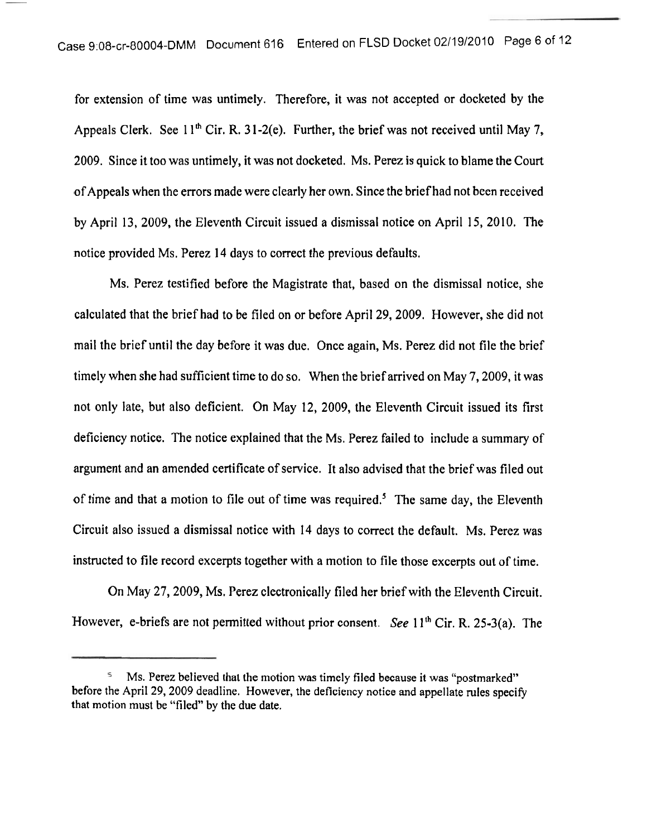for extension of time was untimely. Therefore, it was not accepted or docketed by the Appeals Clerk. See 11<sup>th</sup> Cir. R. 31-2(e). Further, the brief was not received until May 7, 2009. Since it too was untimely, it was not docketed. Ms. Perez is quick to blame the Court of Appeals when the errors made were clearly her own. Since the brief had not been received by April 13, 2009, the Eleventh Circuit issued a dismissal notice on April 15, 2010. The notice provided Ms. Perez 14 days to correct the previous defaults.

Ms. Perez testified before the Magistrate that, based on the dismissal notice, she calculated that the brief had to be filed on or before April 29,2009. However, she did not mail the brief until the day before it was due. Once again, Ms. Perez did not file the brief timely when she had sufficient time to do so. When the brief arrived on May 7,2009, it was not only late, but also deficient. On May 12, 2009, the Eleventh Circuit issued its first deficiency notice. The notice explained that the Ms. Perez failed to include a summary of argument and an amended certificate of service. It also advised that the brief was filed out of time and that a motion to file out of time was required.<sup>5</sup> The same day, the Eleventh Circuit also issued a dismissal notice with 14 days to correct the default. Ms. Perez was instructed to file record excerpts together with a motion to file those excerpts out of time.

On May 27,2009, Ms. Perez electronically filed her brief with the Eleventh Circuit. However, e-briefs are not permitted without prior consent. *See* 11<sup>th</sup> Cir. R. 25-3(a). The

MS. Perez believed that the motion was timely filed because it was "postmarked" before the April 29, 2009 deadline. However, the deficiency notice and appellate rules specify that motion **must** be "filed" by the due date.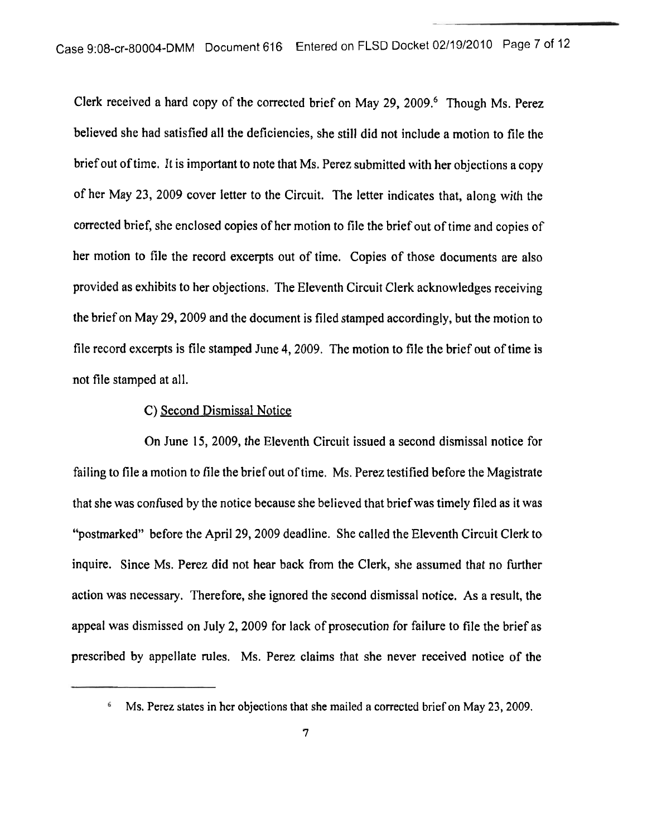Clerk received a hard copy of the corrected brief on May 29, 2009.<sup>6</sup> Though Ms. Perez believed she had satisfied all the deficiencies, she still did not include a motion to file the brief out of time. It is important to note that Ms. Perez submitted with her objections a copy of her May 23, 2009 cover letter to the Circuit. The letter indicates that, along with the corrected brief, she enclosed copies of her motion to file the brief out of time and copies of her motion to file the record excerpts out of time. Copies of those documents are also provided as exhibits to her objections. The Eleventh Circuit Clerk acknowledges receiving the brief on May 29,2009 and the document is filed stamped accordingly, but the motion to file record excerpts is file stamped June 4,2009. The motion to file the brief out of time is not file stamped at all.

#### C) Second Dismissal Notice

On June 15, 2009, the Eleventh Circuit issued a second dismissal notice for failing to file a motion to file the brief out of time. Ms. Perez testified before the Magistrate that she was confused by the notice because she believed that brief was timely filed as it was "postmarked" before the April 29,2009 deadline. She called the Eleventh Circuit Clerk to inquire. Since Ms. Perez did not hear back from the Clerk, she assumed that no further action was necessary. Therefore, she ignored the second dismissal notice. As a result, the appeal was dismissed on July 2,2009 for lack of prosecution for failure to file the brief as prescribed by appellate rules. Ms. Perez claims that she never received notice of the

Ms. Perez states in her objections that she mailed a corrected brief on May 23,2009. 6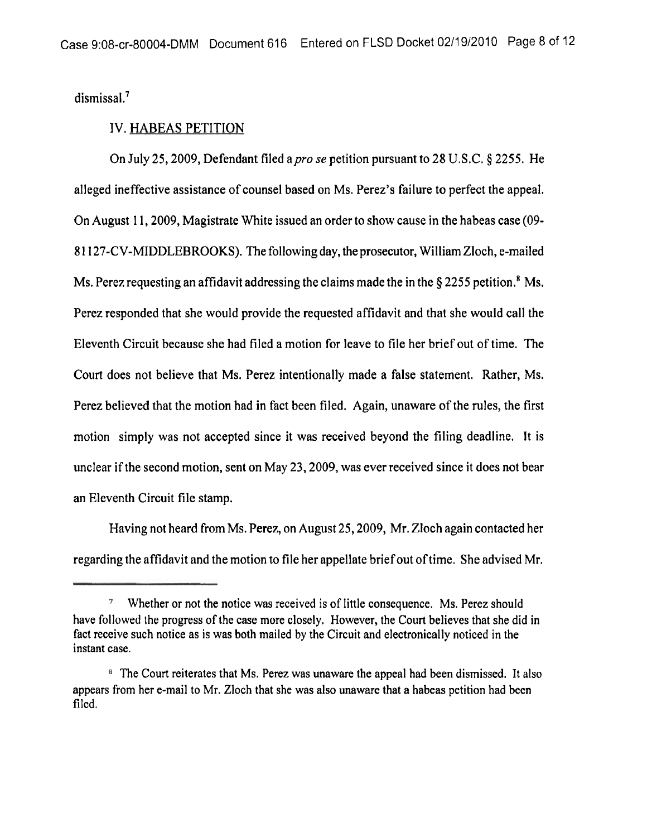dismissal.<sup>7</sup>

#### IV. HABEAS PETITION

On July 25, 2009, Defendant filed a *pro se* petition pursuant to 28 U.S.C. § 2255. He alleged ineffective assistance of counsel based on Ms. Perez's failure to perfect the appeal. On August 1 1,2009, Magistrate White issued an order to show cause in the habeas case (09- 8 1 127-CV-MIDDLEBROOKS). The following day, the prosecutor, William Zloch, e-mailed Ms. Perez requesting an affidavit addressing the claims made the in the § 2255 petition.<sup>8</sup> Ms. Perez responded that she would provide the requested affidavit and that she would call the Eleventh Circuit because she had filed a motion for leave to file her brief out of time. The Court does not believe that Ms. Perez intentionally made a false statement. Rather, Ms. Perez believed that the motion had in fact been filed. Again, unaware of the rules, the first motion simply was not accepted since it was received beyond the filing deadline. It is unclear if the second motion, sent on May 23,2009, was ever received since it does not bear an Eleventh Circuit file stamp.

Having not heard from Ms. Perez, on August 25,2009, Mr. Zloch again contacted her regarding the affidavit and the motion to file her appellate brief out of time. She advised Mr.

<sup>&</sup>lt;sup>7</sup> Whether or not the notice was received is of little consequence. Ms. Perez should have followed the progress of the case more closely. However, the Court believes that she did in fact receive such notice as is was both mailed by the Circuit and electronically noticed in the instant case.

<sup>&</sup>lt;sup>8</sup> The Court reiterates that Ms. Perez was unaware the appeal had been dismissed. It also appears from her e-mail to Mr. Zloch that she was also unaware that a habeas petition had been filed.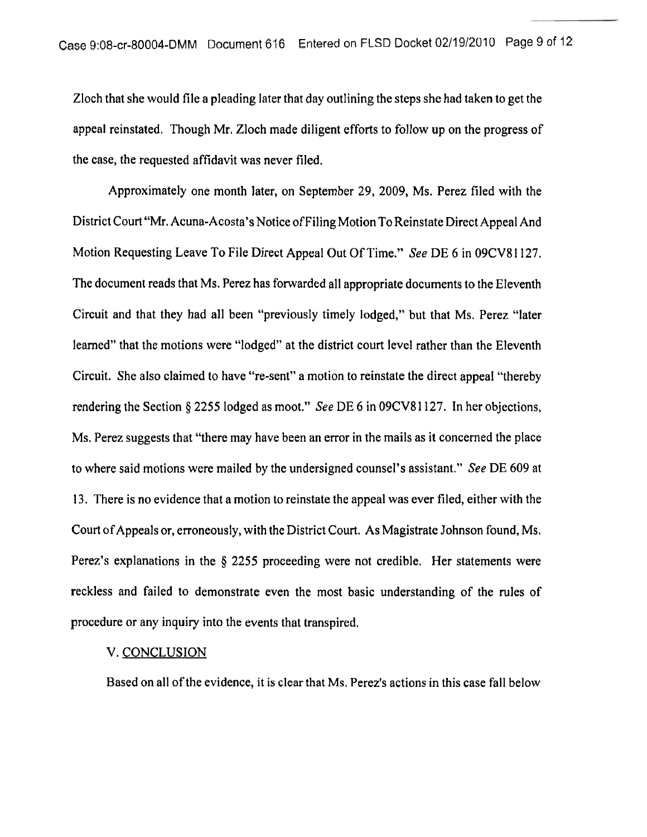Zloch that she would file a pleading later that day outlining the steps she had taken to get the appeal reinstated. Though Mr. Zloch made diligent efforts to follow up on the progress of the case, the requested affidavit was never filed.

Approximately one month later, on September 29, 2009, Ms. Perez filed with the District Court "Mr. Acuna-Acosta's Notice of Filing Motion To Reinstate Direct Appeal And Motion Requesting Leave To File Direct Appeal Out Of Time." *See* DE 6 in 09CV8 1 127. The document reads that Ms. Perez has forwarded all appropriate documents to the Eleventh Circuit and that they had all been "previously timely lodged," but that Ms. Perez "later learned" that the motions were "lodged" at the district court level rather than the Eleventh Circuit. She also claimed to have "re-sent" a motion to reinstate the direct appeal "thereby rendering the Section *5* 2255 lodged as moot." See DE 6 in 09CV8 1 127. In her objections, Ms. Perez suggests that "there may have been an error in the mails as it concerned the place to where said motions were mailed by the undersigned counsel's assistant." See DE 609 at 13. There is no evidence that a motion to reinstate the appeal was ever filed, either with the Court of Appeals or, erroneously, with the District Court. As Magistrate Johnson found, Ms. Perez's explanations in the *5* 2255 proceeding were not credible. Her statements were reckless and failed to demonstrate even the most basic understanding of the rules of procedure or any inquiry into the events that transpired.

#### V. CONCLUSION

Based on all of the evidence, it is clear that Ms. Perez's actions in this case fall below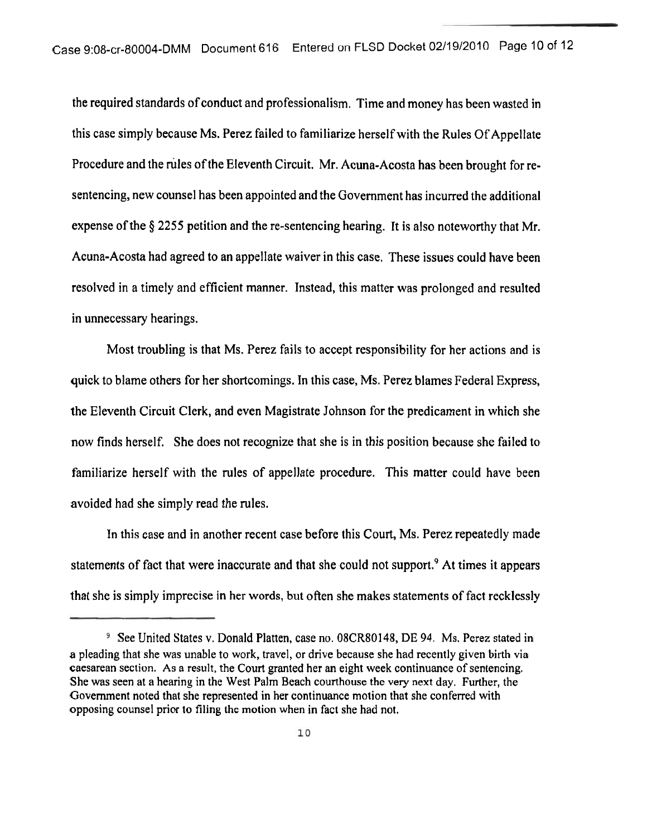the required standards of conduct and professionalism. Time and money has been wasted in this case simply because Ms. Perez failed to familiarize herself with the Rules Of Appellate Procedure and the rules of the Eleventh Circuit. Mr. Acuna-Acosta has been brought for resentencing, new counsel has been appointed and the Government has incurred the additional expense of the \$2255 petition and the re-sentencing hearing. It is also noteworthy that Mr. Acuna-Acosta had agreed to an appellate waiver in this case. These issues could have been resolved in a timely and efficient manner. Instead, this matter was prolonged and resulted in unnecessary hearings.

Most troubling is that Ms. Perez fails to accept responsibility for her actions and is quick to blame others for her shortcomings. In this case, Ms. Perez blames Federal Express, the Eleventh Circuit Clerk, and even Magistrate Johnson for the predicament in which she now finds herself. She does not recognize that she is in this position because she failed to familiarize herself with the rules of appellate procedure. This matter could have been avoided had she simply read the rules.

In this case and in another recent case before this Court, Ms. Perez repeatedly made statements of fact that were inaccurate and that she could not support.<sup>9</sup> At times it appears that she is simply imprecise in her words, but often she makes statements of fact recklessly

<sup>&</sup>lt;sup>9</sup> See United States v. Donald Platten, case no. 08CR80148, DE 94. Ms. Perez stated in a pleading that she was unable to work, travel, or drive because she had recently given birth via caesarean section. As a result, the Court granted her an eight week continuance of sentencing. She was seen at a hearing in the West Palm Beach courthouse the very next day. Further, the Government noted that she represented in her continuance motion that she conferred with opposing counsel prior to filing the motion when in fact she had not.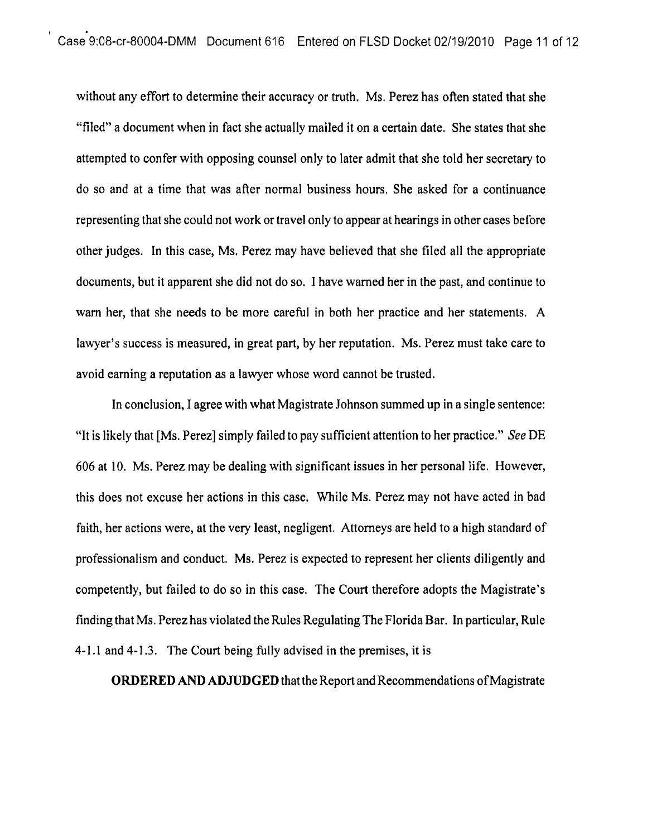without any effort to determine their accuracy or truth. Ms. Perez has often stated that she "filed" a document when in fact she actually mailed it on a certain date. She states that she attempted to confer with opposing counsel only to later admit that she told her secretary to do so and at a time that was after normal business hours. She asked for a continuance representing that she could not work or travel only to appear at hearings in other cases before other judges. In this case, Ms. Perez may have believed that she filed all the appropriate documents, but it apparent she did not do so. I have warned her in the past, and continue to warn her, that she needs to be more carehl in both her practice and her statements. A lawyer's success is measured, in great part, by her reputation. Ms. Perez must take care to avoid earning a reputation as a lawyer whose word cannot be trusted.

In conclusion, I agree with what Magistrate Johnson summed up in a single sentence: "It is likely that [Ms. Perez] simply failed to pay sufficient attention to her practice." See DE 606 at 10. Ms. Perez may be dealing with significant issues in her personal life. However, this does not excuse her actions in this case. While Ms. Perez may not have acted in bad faith, her actions were, at the very least, negligent. Attorneys are held to a high standard of professionalism and conduct. Ms. Perez is expected to represent her clients diligently and competently, but failed to do so in this case. The Court therefore adopts the Magistrate's finding that Ms. Perez has violated the Rules Regulating The Florida Bar. In particular, Rule 4-1.1 and 4-1.3. The Court being fully advised in the premises, it is

**ORDERED AND ADJUDGED** that the Report and Recommendations of Magistrate